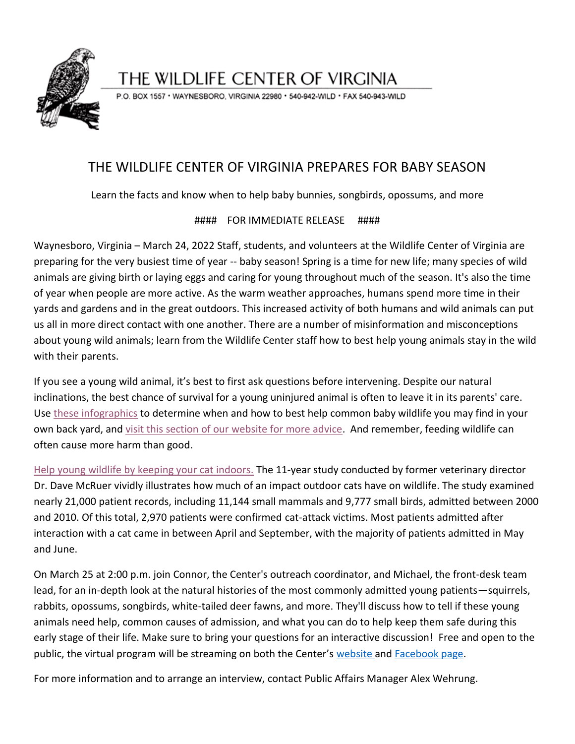

## THE WILDLIFE CENTER OF VIRGINIA

P.O. BOX 1557 · WAYNESBORO, VIRGINIA 22980 · 540-942-WILD · FAX 540-943-WILD

## THE WILDLIFE CENTER OF VIRGINIA PREPARES FOR BABY SEASON

Learn the facts and know when to help baby bunnies, songbirds, opossums, and more

## #### FOR IMMEDIATE RELEASE ####

Waynesboro, Virginia – March 24, 2022 Staff, students, and volunteers at the Wildlife Center of Virginia are preparing for the very busiest time of year -- baby season! Spring is a time for new life; many species of wild animals are giving birth or laying eggs and caring for young throughout much of the season. It's also the time of year when people are more active. As the warm weather approaches, humans spend more time in their yards and gardens and in the great outdoors. This increased activity of both humans and wild animals can put us all in more direct contact with one another. There are a number of misinformation and misconceptions about young wild animals; learn from the Wildlife Center staff how to best help young animals stay in the wild with their parents.

If you see a young wild animal, it's best to first ask questions before intervening. Despite our natural inclinations, the best chance of survival for a young uninjured animal is often to leave it in its parents' care. Use [these infographics](https://www.wildlifecenter.org/healthy-young-wildlife) to determine when and how to best help common baby wildlife you may find in your own back yard, and [visit this section of our website for more advice.](https://www.wildlifecenter.org/healthy-young-wildlife) And remember, feeding wildlife can often cause more harm than good.

[Help young wildlife by keeping your cat indoors.](https://www.wildlifecenter.org/case-indoor-cats) The 11-year study conducted by former veterinary director Dr. Dave McRuer vividly illustrates how much of an impact outdoor cats have on wildlife. The study examined nearly 21,000 patient records, including 11,144 small mammals and 9,777 small birds, admitted between 2000 and 2010. Of this total, 2,970 patients were confirmed cat-attack victims. Most patients admitted after interaction with a cat came in between April and September, with the majority of patients admitted in May and June.

On March 25 at 2:00 p.m. join Connor, the Center's outreach coordinator, and Michael, the front-desk team lead, for an in-depth look at the natural histories of the most commonly admitted young patients—squirrels, rabbits, opossums, songbirds, white-tailed deer fawns, and more. They'll discuss how to tell if these young animals need help, common causes of admission, and what you can do to help keep them safe during this early stage of their life. Make sure to bring your questions for an interactive discussion! Free and open to the public, the virtual program will be streaming on both the Center's [website a](https://www.wildlifecenter.org/live-events)nd [Facebook page.](https://www.facebook.com/wildlifecenter)

For more information and to arrange an interview, contact Public Affairs Manager Alex Wehrung.